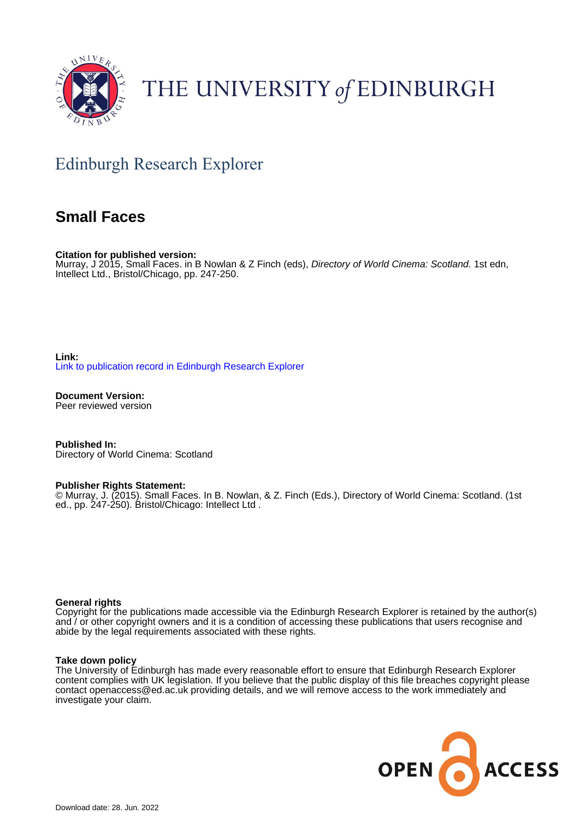

# THE UNIVERSITY of EDINBURGH

## Edinburgh Research Explorer

### **Small Faces**

**Citation for published version:** Murray, J 2015, Small Faces. in B Nowlan & Z Finch (eds), Directory of World Cinema: Scotland. 1st edn, Intellect Ltd., Bristol/Chicago, pp. 247-250.

**Link:** [Link to publication record in Edinburgh Research Explorer](https://www.research.ed.ac.uk/en/publications/e7ba8964-5626-40b0-971f-32398a13e5ac)

**Document Version:** Peer reviewed version

**Published In:** Directory of World Cinema: Scotland

#### **Publisher Rights Statement:**

© Murray, J. (2015). Small Faces. In B. Nowlan, & Z. Finch (Eds.), Directory of World Cinema: Scotland. (1st ed., pp. 247-250). Bristol/Chicago: Intellect Ltd.

#### **General rights**

Copyright for the publications made accessible via the Edinburgh Research Explorer is retained by the author(s) and / or other copyright owners and it is a condition of accessing these publications that users recognise and abide by the legal requirements associated with these rights.

#### **Take down policy**

The University of Edinburgh has made every reasonable effort to ensure that Edinburgh Research Explorer content complies with UK legislation. If you believe that the public display of this file breaches copyright please contact openaccess@ed.ac.uk providing details, and we will remove access to the work immediately and investigate your claim.

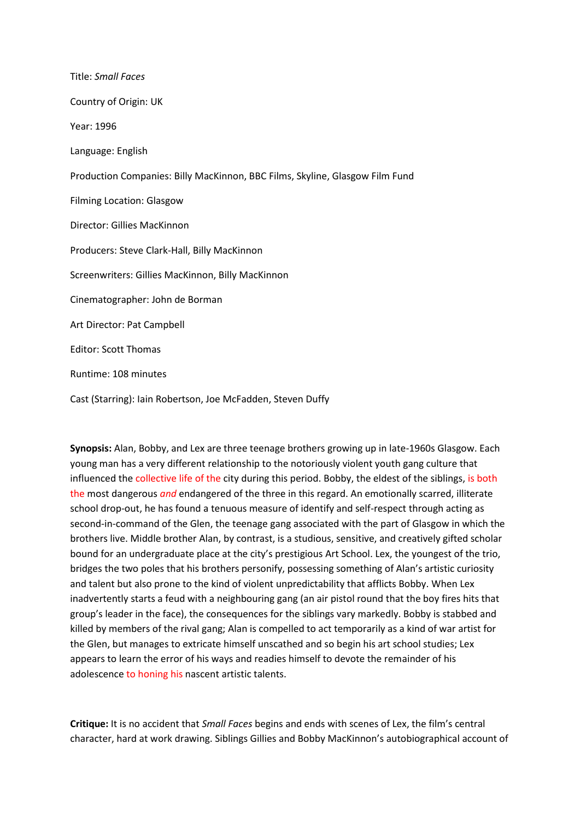Title: *Small Faces* Country of Origin: UK Year: 1996 Language: English Production Companies: Billy MacKinnon, BBC Films, Skyline, Glasgow Film Fund Filming Location: Glasgow Director: Gillies MacKinnon Producers: Steve Clark-Hall, Billy MacKinnon Screenwriters: Gillies MacKinnon, Billy MacKinnon Cinematographer: John de Borman Art Director: Pat Campbell Editor: Scott Thomas Runtime: 108 minutes Cast (Starring): Iain Robertson, Joe McFadden, Steven Duffy

**Synopsis:** Alan, Bobby, and Lex are three teenage brothers growing up in late-1960s Glasgow. Each young man has a very different relationship to the notoriously violent youth gang culture that influenced the collective life of the city during this period. Bobby, the eldest of the siblings, is both the most dangerous *and* endangered of the three in this regard. An emotionally scarred, illiterate school drop-out, he has found a tenuous measure of identify and self-respect through acting as second-in-command of the Glen, the teenage gang associated with the part of Glasgow in which the brothers live. Middle brother Alan, by contrast, is a studious, sensitive, and creatively gifted scholar bound for an undergraduate place at the city's prestigious Art School. Lex, the youngest of the trio, bridges the two poles that his brothers personify, possessing something of Alan's artistic curiosity and talent but also prone to the kind of violent unpredictability that afflicts Bobby. When Lex inadvertently starts a feud with a neighbouring gang (an air pistol round that the boy fires hits that group's leader in the face), the consequences for the siblings vary markedly. Bobby is stabbed and killed by members of the rival gang; Alan is compelled to act temporarily as a kind of war artist for the Glen, but manages to extricate himself unscathed and so begin his art school studies; Lex appears to learn the error of his ways and readies himself to devote the remainder of his adolescence to honing his nascent artistic talents.

**Critique:** It is no accident that *Small Faces* begins and ends with scenes of Lex, the film's central character, hard at work drawing. Siblings Gillies and Bobby MacKinnon's autobiographical account of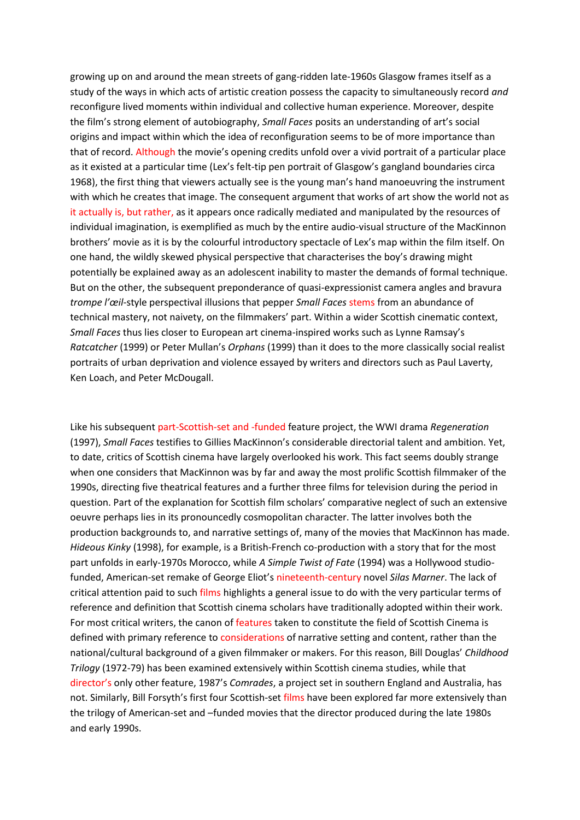growing up on and around the mean streets of gang-ridden late-1960s Glasgow frames itself as a study of the ways in which acts of artistic creation possess the capacity to simultaneously record *and* reconfigure lived moments within individual and collective human experience. Moreover, despite the film's strong element of autobiography, *Small Faces* posits an understanding of art's social origins and impact within which the idea of reconfiguration seems to be of more importance than that of record. Although the movie's opening credits unfold over a vivid portrait of a particular place as it existed at a particular time (Lex's felt-tip pen portrait of Glasgow's gangland boundaries circa 1968), the first thing that viewers actually see is the young man's hand manoeuvring the instrument with which he creates that image. The consequent argument that works of art show the world not as it actually is, but rather, as it appears once radically mediated and manipulated by the resources of individual imagination, is exemplified as much by the entire audio-visual structure of the MacKinnon brothers' movie as it is by the colourful introductory spectacle of Lex's map within the film itself. On one hand, the wildly skewed physical perspective that characterises the boy's drawing might potentially be explained away as an adolescent inability to master the demands of formal technique. But on the other, the subsequent preponderance of quasi-expressionist camera angles and bravura *trompe l'œil*-style perspectival illusions that pepper *Small Faces* stems from an abundance of technical mastery, not naivety, on the filmmakers' part. Within a wider Scottish cinematic context, *Small Faces* thus lies closer to European art cinema-inspired works such as Lynne Ramsay's *Ratcatcher* (1999) or Peter Mullan's *Orphans* (1999) than it does to the more classically social realist portraits of urban deprivation and violence essayed by writers and directors such as Paul Laverty, Ken Loach, and Peter McDougall.

Like his subsequent part-Scottish-set and -funded feature project, the WWI drama *Regeneration* (1997), *Small Faces* testifies to Gillies MacKinnon's considerable directorial talent and ambition. Yet, to date, critics of Scottish cinema have largely overlooked his work. This fact seems doubly strange when one considers that MacKinnon was by far and away the most prolific Scottish filmmaker of the 1990s, directing five theatrical features and a further three films for television during the period in question. Part of the explanation for Scottish film scholars' comparative neglect of such an extensive oeuvre perhaps lies in its pronouncedly cosmopolitan character. The latter involves both the production backgrounds to, and narrative settings of, many of the movies that MacKinnon has made. *Hideous Kinky* (1998), for example, is a British-French co-production with a story that for the most part unfolds in early-1970s Morocco, while *A Simple Twist of Fate* (1994) was a Hollywood studiofunded, American-set remake of George Eliot's nineteenth-century novel *Silas Marner*. The lack of critical attention paid to such films highlights a general issue to do with the very particular terms of reference and definition that Scottish cinema scholars have traditionally adopted within their work. For most critical writers, the canon of features taken to constitute the field of Scottish Cinema is defined with primary reference to considerations of narrative setting and content, rather than the national/cultural background of a given filmmaker or makers. For this reason, Bill Douglas' *Childhood Trilogy* (1972-79) has been examined extensively within Scottish cinema studies, while that director's only other feature, 1987's *Comrades*, a project set in southern England and Australia, has not. Similarly, Bill Forsyth's first four Scottish-set films have been explored far more extensively than the trilogy of American-set and –funded movies that the director produced during the late 1980s and early 1990s.